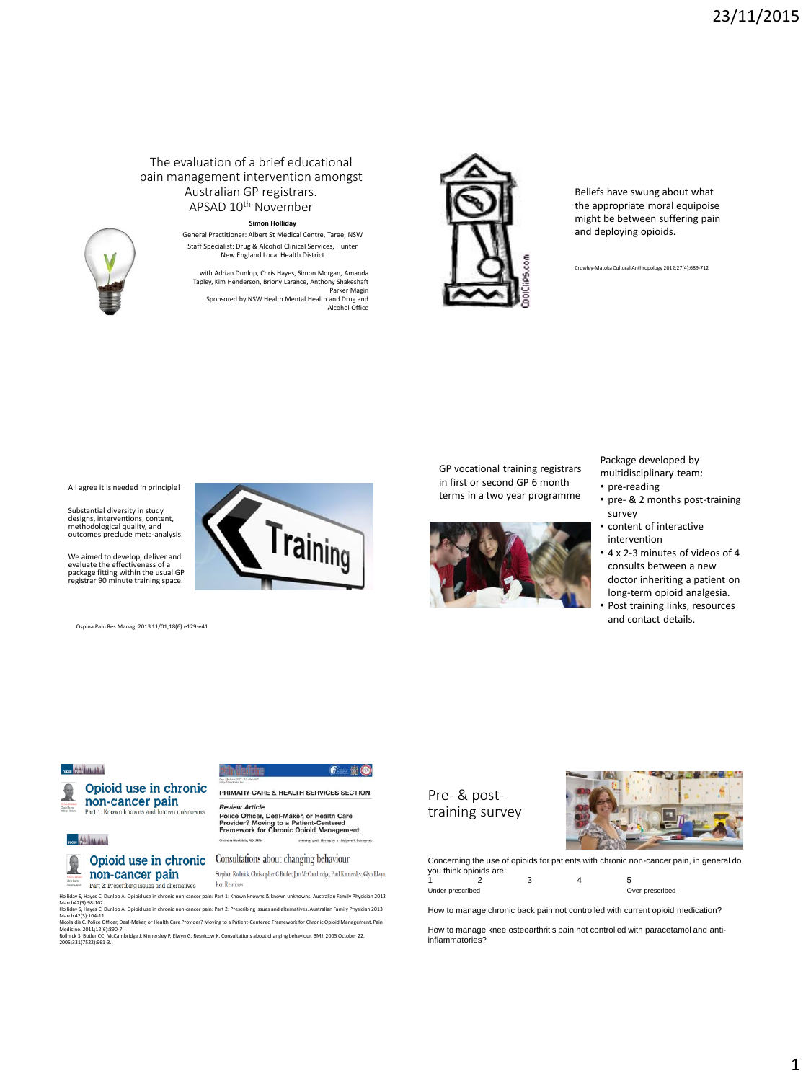#### The evaluation of a brief educational pain management intervention amongst Australian GP registrars. APSAD 10th November

#### **Simon Holliday**

General Practitioner: Albert St Medical Centre, Taree, NSW Staff Specialist: Drug & Alcohol Clinical Services, Hunter New England Local Health District

with Adrian Dunlop, Chris Hayes, Simon Morgan, Amanda Tapley, Kim Henderson, Briony Larance, Anthony Shakeshaft Parker Magin Sponsored by NSW Health Mental Health and Drug and Alcohol Office

Training

 $6 - 10$ 



Beliefs have swung about what the appropriate moral equipoise might be between suffering pain and deploying opioids.

Crowley-Matoka Cultural Anthropology 2012;27(4):689-712



Substantial diversity in study designs, interventions, content, methodological quality, and outcomes preclude meta-analysis.

We aimed to develop, deliver and evaluate the effectiveness of a package fitting within the usual GP registrar 90 minute training space.

Ospina Pain Res Manag. 2013 11/01;18(6):e129-e41

GP vocational training registrars in first or second GP 6 month terms in a two year programme



Package developed by multidisciplinary team:

- pre-reading
- pre- & 2 months post-training survey
- content of interactive intervention
- 4 x 2-3 minutes of videos of 4 consults between a new doctor inheriting a patient on long-term opioid analgesia.
- Post training links, resources and contact details.

#### ross 198-litterated

#### Opioid use in chronic non-cancer pain Part 1: Known knowns and known unknowns

# ross Shellinghill

## non-cancer pain Part 2: Prescribing issues and alternatives

**Opioid use in chronic** Consultations about changing behaviour Stephen Rollnick, Christopher C Butler, Jim McCambridge, Paul Kinnersley, Glyn Elwyn,

Ken Resnicow

PRIMARY CARE & HEALTH SERVICES SECTION

**Provider Afficier, Deal-Maker, or Health Care<br>Provider? Moving to a Patient-Centered<br>Framework for Chronic Opioid Management** 

Holliday S, Hayes C, Dunlop A. Opioid use in chronic non-cancer pain: Part 1: Known knowns & known unknowns. Australian Family Physician 2013 March42(3):98-102.

**Review Article** 

Hollday S, Hayes C, Dunlop A. Opioid use in chronic non-cancer pain: Part 2: Prescribing issues and alternatives. Australian Family Physician 2013<br>Nicachdisc. Police Office; Dea-Maker, or Health Care Provider? Moving to a

Pre- & posttraining survey



Concerning the use of opioids for patients with chronic non-cancer pain, in general do you think opioids are: 1 2 3 4 5

Under-prescribed Over-prescribed

How to manage chronic back pain not controlled with current opioid medication?

How to manage knee osteoarthritis pain not controlled with paracetamol and antiinflammatories?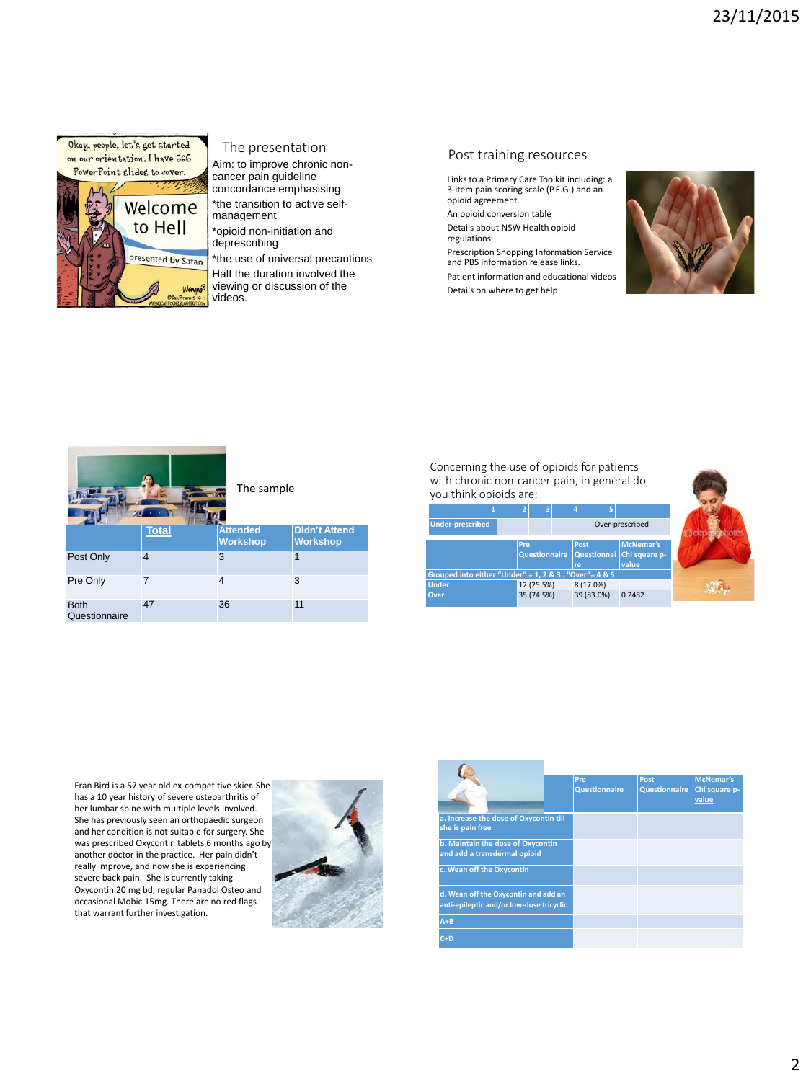

presented by Satan

Wa

#### The presentation

Aim: to improve chronic noncancer pain guideline concordance emphasising: \*the transition to active self-

management \*opioid non-initiation and deprescribing

\*the use of universal precautions Half the duration involved the

viewing or discussion of the videos.

### Post training resources

Links to a Primary Care Toolkit including: a 3-item pain scoring scale (P.E.G.) and an opioid agreement.

An opioid conversion table Details about NSW Health opioid regulations

Prescription Shopping Information Service and PBS information release links. Patient information and educational videos Details on where to get help





Concerning the use of opioids for patients with chronic non-cancer pain, in general do you think opioids are:

|                                                        |            |                      | Б                         |                                            |  |
|--------------------------------------------------------|------------|----------------------|---------------------------|--------------------------------------------|--|
| <b>Under-prescribed</b>                                |            |                      |                           | Over-prescribed                            |  |
|                                                        | <b>Pre</b> | <b>Questionnaire</b> | Post<br>Questionnai<br>re | <b>McNemar's</b><br>Chi square p-<br>value |  |
| Grouped into either "Under" = 1, 2 & 3 . "Over"= 4 & 5 |            |                      |                           |                                            |  |
| <b>Under</b>                                           |            | 12 (25.5%)           | 8 (17.0%)                 |                                            |  |
| <b>Over</b>                                            |            | 35 (74.5%)           | 39 (83.0%)                | 0.2482                                     |  |

Fran Bird is a 57 year old ex-competitive skier. She has a 10 year history of severe osteoarthritis of her lumbar spine with multiple levels involved. She has previously seen an orthopaedic surgeon and her condition is not suitable for surgery. She was prescribed Oxycontin tablets 6 months ago by another doctor in the practice. Her pain didn't really improve, and now she is experiencing severe back pain. She is currently taking Oxycontin 20 mg bd, regular Panadol Osteo and occasional Mobic 15mg. There are no red flags that warrant further investigation.



|                                                                                  | Pre<br><b>Questionnaire</b> | Post<br><b>Questionnaire</b> | McNemar's<br>Chi square p-<br>value |
|----------------------------------------------------------------------------------|-----------------------------|------------------------------|-------------------------------------|
| a. Increase the dose of Oxycontin till<br>she is pain free                       |                             |                              |                                     |
| b. Maintain the dose of Oxycontin<br>and add a transdermal opioid                |                             |                              |                                     |
| c. Wean off the Oxycontin                                                        |                             |                              |                                     |
| d. Wean off the Oxycontin and add an<br>anti-epileptic and/or low-dose tricyclic |                             |                              |                                     |
| $A + B$                                                                          |                             |                              |                                     |
| $C+D$                                                                            |                             |                              |                                     |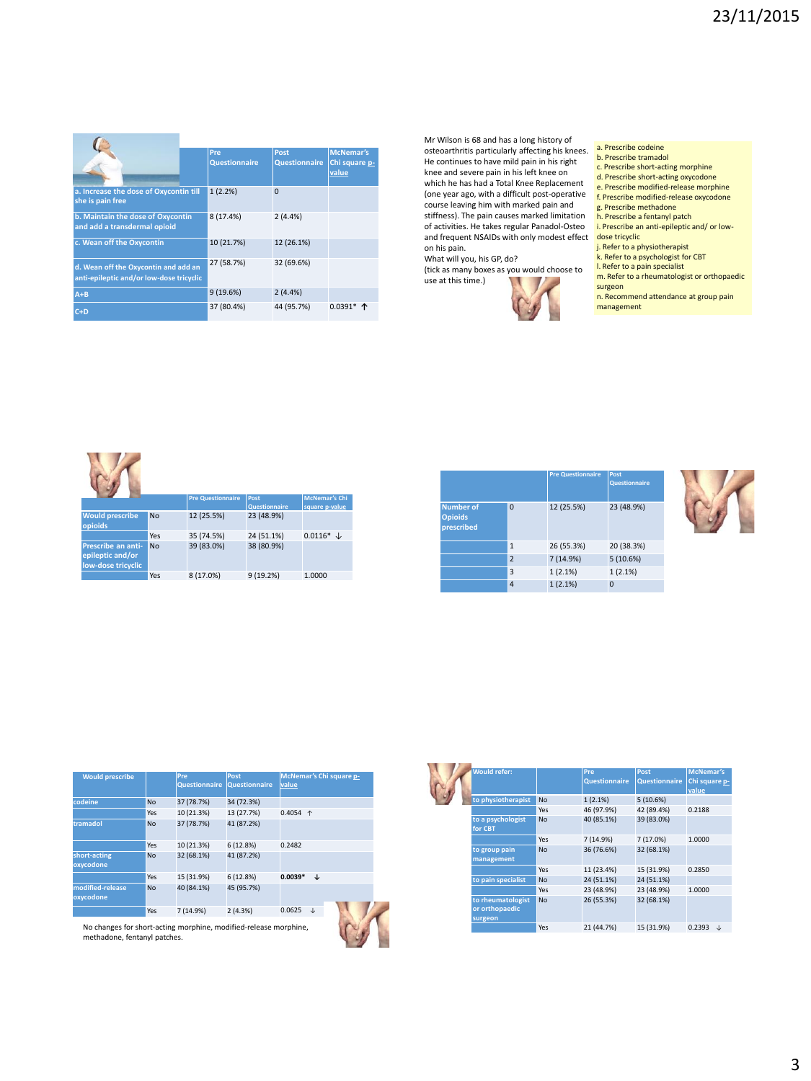|                                                                                  | Pre<br><b>Questionnaire</b> | Post<br>Questionnaire | <b>McNemar's</b><br>Chi square p-<br>value |
|----------------------------------------------------------------------------------|-----------------------------|-----------------------|--------------------------------------------|
| a. Increase the dose of Oxycontin till<br>she is pain free                       | 1(2.2%)                     | $\Omega$              |                                            |
| b. Maintain the dose of Oxycontin<br>and add a transdermal opioid                | 8 (17.4%)                   | 2(4.4%)               |                                            |
| c. Wean off the Oxycontin                                                        | 10 (21.7%)                  | 12 (26.1%)            |                                            |
| d. Wean off the Oxycontin and add an<br>anti-epileptic and/or low-dose tricyclic | 27 (58.7%)                  | 32 (69.6%)            |                                            |
| $A + B$                                                                          | 9(19.6%)                    | 2(4.4%)               |                                            |
| $C+D$                                                                            | 37 (80.4%)                  | 44 (95.7%)            | $0.0391*$ 个                                |

Mr Wilson is 68 and has a long history of osteoarthritis particularly affecting his knees. He continues to have mild pain in his right knee and severe pain in his left knee on which he has had a Total Knee Replacement (one year ago, with a difficult post-operative course leaving him with marked pain and stiffness). The pain causes marked limitation of activities. He takes regular Panadol-Osteo and frequent NSAIDs with only modest effect on his pain.

What will you, his GP, do? (tick as many boxes as you would choose to

use at this time.)



#### a. Prescribe codeine

- b. Prescribe tramadol
- c. Prescribe short-acting morphine
- d. Prescribe short-acting oxycodone
- e. Prescribe modified-release morphine
- f. Prescribe modified-release oxycodone g. Prescribe methadone
- h. Prescribe a fentanyl patch
- i. Prescribe an anti-epileptic and/ or lowdose tricyclic
- j. Refer to a physiotherapist k. Refer to a psychologist for CBT
- l. Refer to a pain specialist
- m. Refer to a rheumatologist or orthopaedic
- surgeon n. Recommend attendance at group pain
- management



|                                                  |                | <b>Pre Questionnaire</b> | Post<br><b>Questionnaire</b> |
|--------------------------------------------------|----------------|--------------------------|------------------------------|
| <b>Number of</b><br><b>Opioids</b><br>prescribed | $\Omega$       | 12 (25.5%)               | 23 (48.9%)                   |
|                                                  | $\mathbf{1}$   | 26 (55.3%)               | 20 (38.3%)                   |
|                                                  | $\overline{2}$ | 7 (14.9%)                | 5(10.6%)                     |
|                                                  | 3              | 1(2.1%)                  | 1(2.1%)                      |
|                                                  | $\overline{a}$ | 1(2.1%)                  | O                            |



| <b>Would prescribe</b>        |           | Pre<br><b>Questionnaire</b> | Post<br><b>Questionnaire</b> | McNemar's Chi square p-<br>value |
|-------------------------------|-----------|-----------------------------|------------------------------|----------------------------------|
| codeine                       | <b>No</b> | 37 (78.7%)                  | 34 (72.3%)                   |                                  |
|                               | Yes       | 10 (21.3%)                  | 13 (27.7%)                   | $0.4054$ 1                       |
| tramadol                      | <b>No</b> | 37 (78.7%)                  | 41 (87.2%)                   |                                  |
|                               | Yes       | 10 (21.3%)                  | 6 (12.8%)                    | 0.2482                           |
| short-acting<br>oxycodone     | <b>No</b> | 32 (68.1%)                  | 41 (87.2%)                   |                                  |
|                               | Yes       | 15 (31.9%)                  | 6(12.8%)                     | $0.0039*$<br>↓                   |
| modified-release<br>oxycodone | <b>No</b> | 40 (84.1%)                  | 45 (95.7%)                   |                                  |
|                               | Yes       | 7 (14.9%)                   | 2(4.3%)                      | 0.0625<br>J                      |
|                               |           |                             |                              |                                  |

0.0391\*

No changes for short-acting morphine, modified-release morphine,<br>methadone, fentanyl patches, methadone, fentanyl patches.

| <b>Would refer:</b>                            |           | Pre<br><b>Questionnaire</b> | Post<br><b>Questionnaire</b> | <b>McNemar's</b><br>Chi square p-<br>value |
|------------------------------------------------|-----------|-----------------------------|------------------------------|--------------------------------------------|
| to physiotherapist                             | <b>No</b> | 1(2.1%)                     | 5(10.6%)                     |                                            |
|                                                | Yes       | 46 (97.9%)                  | 42 (89.4%)                   | 0.2188                                     |
| to a psychologist<br>for CBT                   | <b>No</b> | 40 (85.1%)                  | 39 (83.0%)                   |                                            |
|                                                | Yes       | 7 (14.9%)                   | 7 (17.0%)                    | 1.0000                                     |
| to group pain<br>management                    | <b>No</b> | 36 (76.6%)                  | 32 (68.1%)                   |                                            |
|                                                | Yes       | 11 (23.4%)                  | 15 (31.9%)                   | 0.2850                                     |
| to pain specialist                             | <b>No</b> | 24 (51.1%)                  | 24 (51.1%)                   |                                            |
|                                                | Yes       | 23 (48.9%)                  | 23 (48.9%)                   | 1.0000                                     |
| to rheumatologist<br>or orthopaedic<br>surgeon | <b>No</b> | 26 (55.3%)                  | 32 (68.1%)                   |                                            |
|                                                | Yes       | 21 (44.7%)                  | 15 (31.9%)                   | 0.2393<br>J.                               |